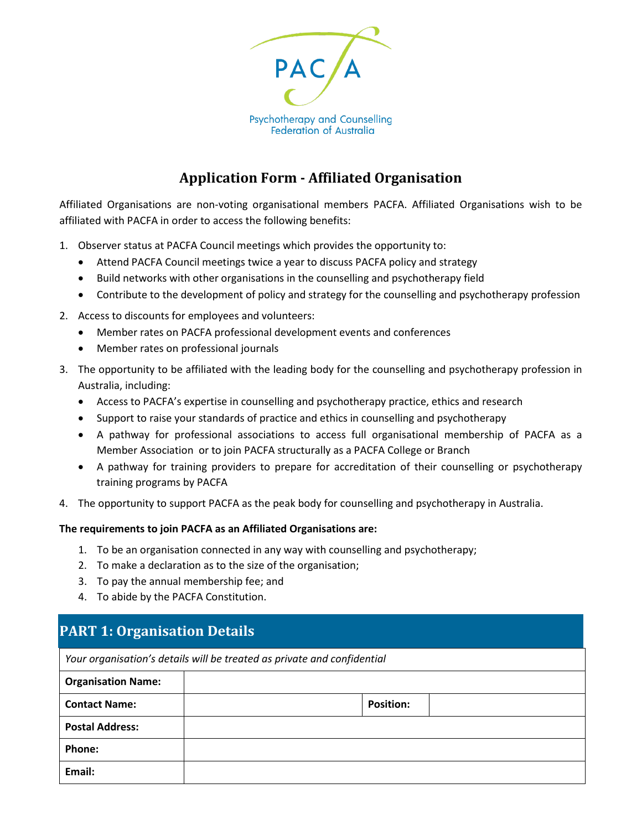

### **Application Form - Affiliated Organisation**

Affiliated Organisations are non-voting organisational members PACFA. Affiliated Organisations wish to be affiliated with PACFA in order to access the following benefits:

- 1. Observer status at PACFA Council meetings which provides the opportunity to:
	- Attend PACFA Council meetings twice a year to discuss PACFA policy and strategy
	- Build networks with other organisations in the counselling and psychotherapy field
	- Contribute to the development of policy and strategy for the counselling and psychotherapy profession
- 2. Access to discounts for employees and volunteers:
	- Member rates on PACFA professional development events and conferences
	- Member rates on professional journals
- 3. The opportunity to be affiliated with the leading body for the counselling and psychotherapy profession in Australia, including:
	- Access to PACFA's expertise in counselling and psychotherapy practice, ethics and research
	- Support to raise your standards of practice and ethics in counselling and psychotherapy
	- A pathway for professional associations to access full organisational membership of PACFA as a Member Association or to join PACFA structurally as a PACFA College or Branch
	- A pathway for training providers to prepare for accreditation of their counselling or psychotherapy training programs by PACFA
- 4. The opportunity to support PACFA as the peak body for counselling and psychotherapy in Australia.

#### **The requirements to join PACFA as an Affiliated Organisations are:**

- 1. To be an organisation connected in any way with counselling and psychotherapy;
- 2. To make a declaration as to the size of the organisation;
- 3. To pay the annual membership fee; and
- 4. To abide by the PACFA Constitution.

### **PART 1: Organisation Details**

*Your organisation's details will be treated as private and confidential*

| <b>Organisation Name:</b> |                  |  |
|---------------------------|------------------|--|
| <b>Contact Name:</b>      | <b>Position:</b> |  |
| <b>Postal Address:</b>    |                  |  |
| <b>Phone:</b>             |                  |  |
| Email:                    |                  |  |